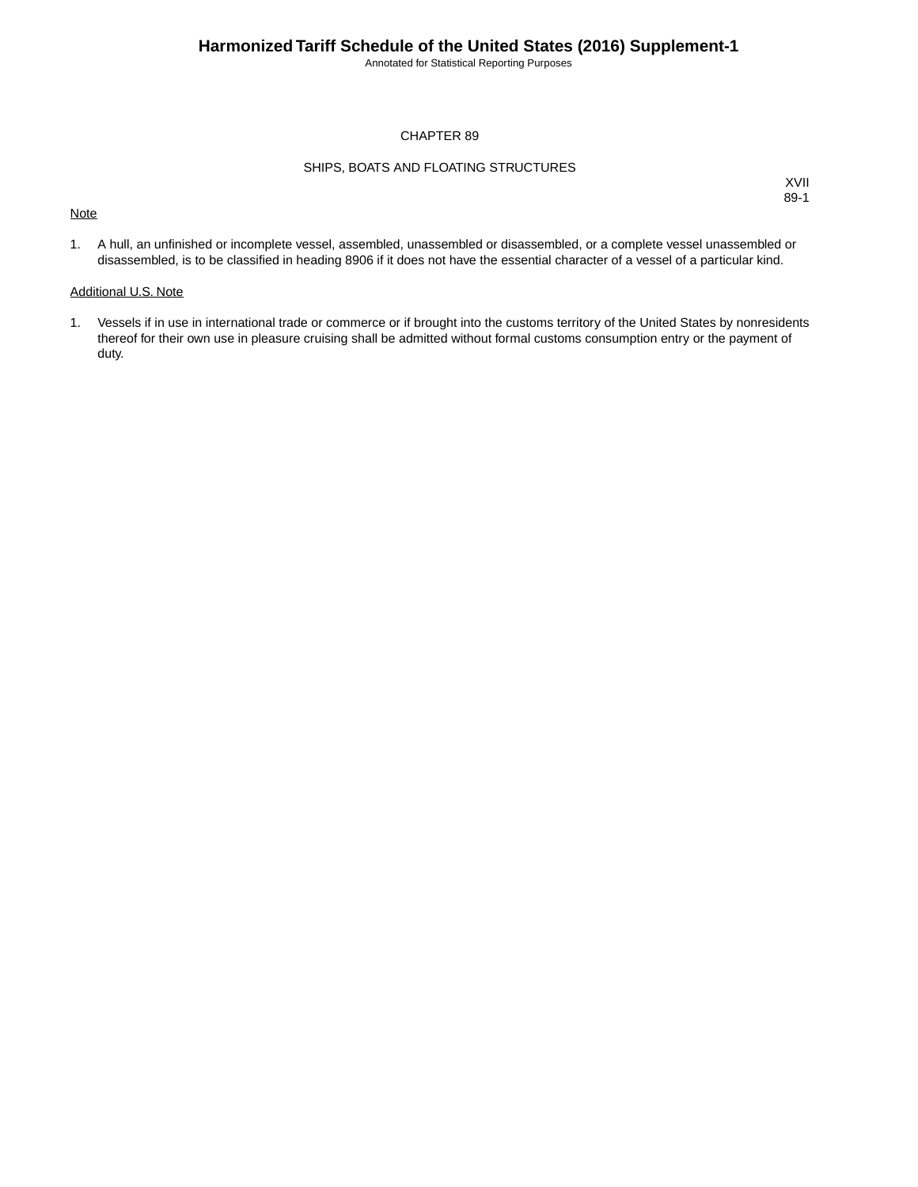Annotated for Statistical Reporting Purposes

### CHAPTER 89

### SHIPS, BOATS AND FLOATING STRUCTURES

### **Note**

XVII 89-1

1. A hull, an unfinished or incomplete vessel, assembled, unassembled or disassembled, or a complete vessel unassembled or disassembled, is to be classified in heading 8906 if it does not have the essential character of a vessel of a particular kind.

#### Additional U.S. Note

1. Vessels if in use in international trade or commerce or if brought into the customs territory of the United States by nonresidents thereof for their own use in pleasure cruising shall be admitted without formal customs consumption entry or the payment of duty.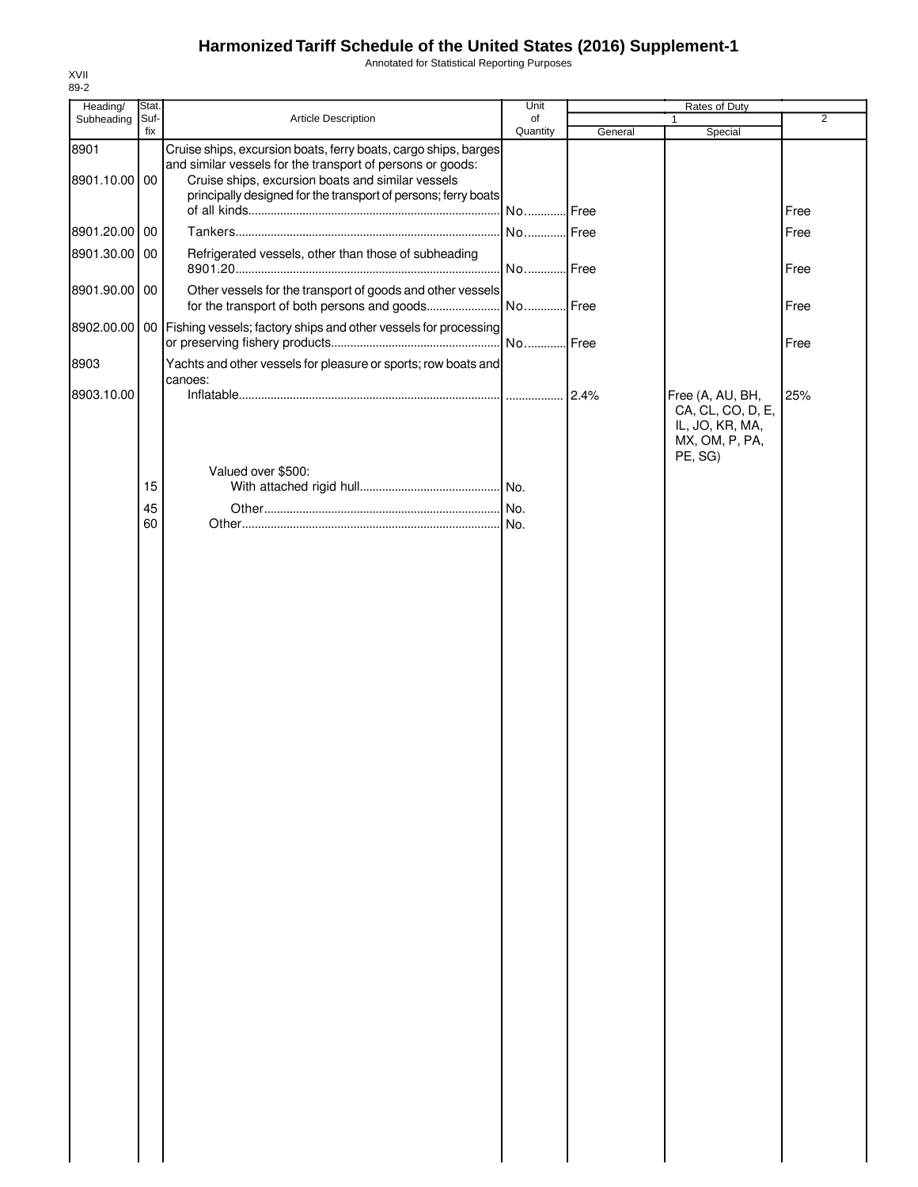# **Harmonized Tariff Schedule of the United States (2016) Supplement-1**

Annotated for Statistical Reporting Purposes

| Heading/              | Stat.       |                                                                                                                                                                                                                                                      | Unit           |         | Rates of Duty                                                                         |                |  |
|-----------------------|-------------|------------------------------------------------------------------------------------------------------------------------------------------------------------------------------------------------------------------------------------------------------|----------------|---------|---------------------------------------------------------------------------------------|----------------|--|
| Subheading            | Suf-<br>fix | Article Description                                                                                                                                                                                                                                  | of<br>Quantity | General | 1<br>Special                                                                          | $\overline{2}$ |  |
| 8901<br>8901.10.00 00 |             | Cruise ships, excursion boats, ferry boats, cargo ships, barges<br>and similar vessels for the transport of persons or goods:<br>Cruise ships, excursion boats and similar vessels<br>principally designed for the transport of persons; ferry boats | No Free        |         |                                                                                       | Free           |  |
| 8901.20.00 00         |             |                                                                                                                                                                                                                                                      | No Free        |         |                                                                                       | Free           |  |
| 8901.30.00 00         |             | Refrigerated vessels, other than those of subheading                                                                                                                                                                                                 | No Free        |         |                                                                                       | Free           |  |
| 8901.90.00 00         |             | Other vessels for the transport of goods and other vessels                                                                                                                                                                                           |                |         |                                                                                       | Free           |  |
|                       |             | 8902.00.00   00   Fishing vessels; factory ships and other vessels for processing                                                                                                                                                                    |                |         |                                                                                       | Free           |  |
| 8903                  |             | Yachts and other vessels for pleasure or sports; row boats and<br>canoes:                                                                                                                                                                            |                |         |                                                                                       |                |  |
| 8903.10.00            |             |                                                                                                                                                                                                                                                      |                | 2.4%    | Free (A, AU, BH,<br>CA, CL, CO, D, E,<br>IL, JO, KR, MA,<br>MX, OM, P, PA,<br>PE, SG) | 25%            |  |
|                       | 15          | Valued over \$500:                                                                                                                                                                                                                                   |                |         |                                                                                       |                |  |
|                       | 45          |                                                                                                                                                                                                                                                      |                |         |                                                                                       |                |  |
|                       | 60          |                                                                                                                                                                                                                                                      |                |         |                                                                                       |                |  |
|                       |             |                                                                                                                                                                                                                                                      |                |         |                                                                                       |                |  |

XVII 89-2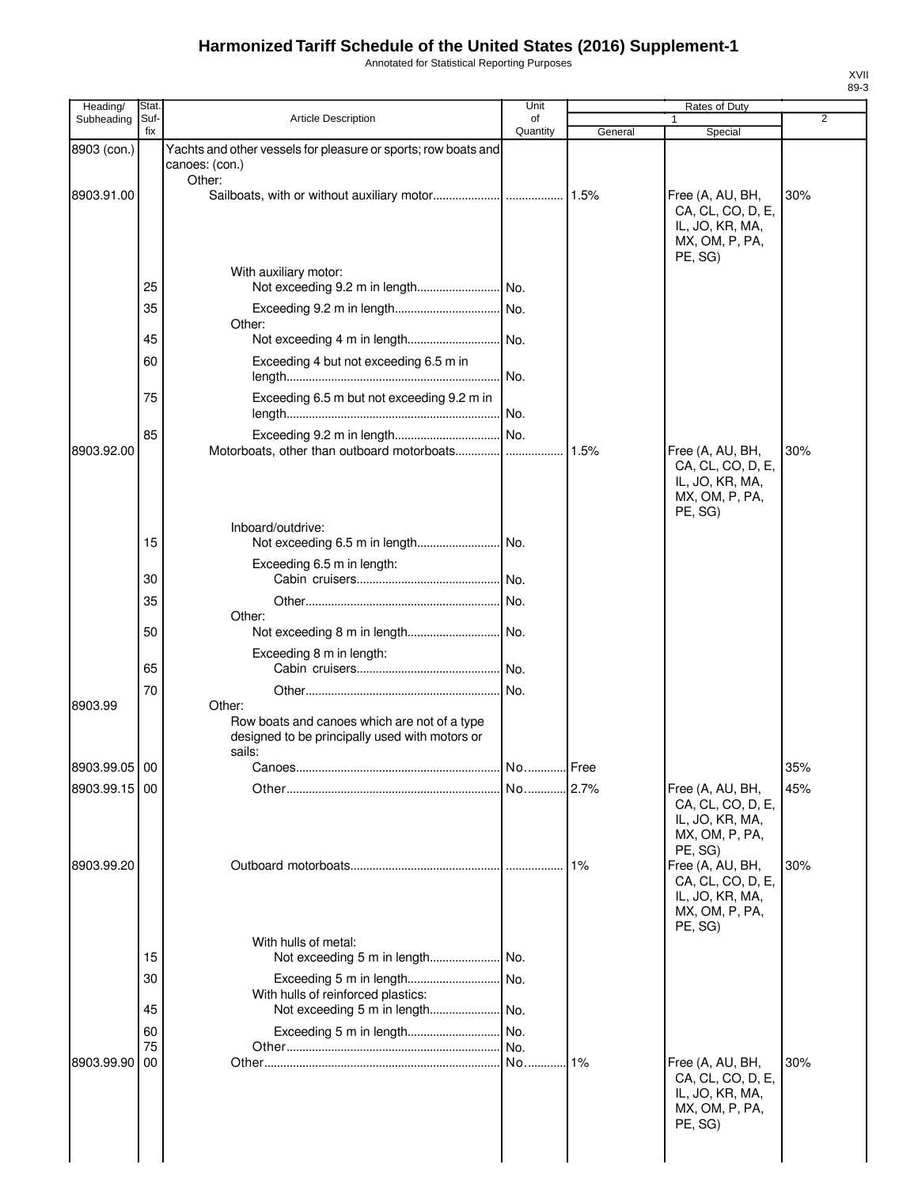## **Harmonized Tariff Schedule of the United States (2016) Supplement-1**

Annotated for Statistical Reporting Purposes

| Heading/      | Stat.                      |                                                                                                                    | Unit           |         | Rates of Duty                                                                                    |                |
|---------------|----------------------------|--------------------------------------------------------------------------------------------------------------------|----------------|---------|--------------------------------------------------------------------------------------------------|----------------|
| Subheading    | Suf-<br>fix                | <b>Article Description</b>                                                                                         | of<br>Quantity | General | Special                                                                                          | $\overline{2}$ |
| 8903 (con.)   |                            | Yachts and other vessels for pleasure or sports; row boats and<br>canoes: (con.)                                   |                |         |                                                                                                  |                |
| 8903.91.00    |                            | Other:                                                                                                             |                |         | Free (A, AU, BH,<br>CA, CL, CO, D, E,<br>IL, JO, KR, MA,<br>MX, OM, P, PA,<br>PE, SG)            | 30%            |
|               | 25<br>35<br>45             | With auxiliary motor:<br>Other:                                                                                    |                |         |                                                                                                  |                |
|               | 60<br>75                   | Exceeding 4 but not exceeding 6.5 m in<br>Exceeding 6.5 m but not exceeding 9.2 m in                               |                |         |                                                                                                  |                |
| 8903.92.00    | 85                         |                                                                                                                    |                |         | Free (A, AU, BH,<br>CA, CL, CO, D, E,<br>IL, JO, KR, MA,                                         | 30%            |
|               | 15                         | Inboard/outdrive:                                                                                                  |                |         | MX, OM, P, PA,<br>PE, SG)                                                                        |                |
|               | 30                         | Exceeding 6.5 m in length:                                                                                         | .l No.         |         |                                                                                                  |                |
|               | 35<br>50                   | Other:                                                                                                             |                |         |                                                                                                  |                |
|               | 65                         | Exceeding 8 m in length:                                                                                           |                |         |                                                                                                  |                |
| 8903.99       | 70                         | Other:<br>Row boats and canoes which are not of a type<br>designed to be principally used with motors or<br>sails: | .I No.         |         |                                                                                                  |                |
| 8903.99.05 00 |                            | Canoes.                                                                                                            | No.            | Free    |                                                                                                  | 35%            |
| 8903.99.15 00 |                            |                                                                                                                    |                |         | Free (A, AU, BH,<br>CA, CL, CO, D, E,<br>IL, JO, KR, MA,<br>MX, OM, P, PA,                       | 45%            |
| 8903.99.20    |                            |                                                                                                                    |                |         | PE, SG)<br>Free (A, AU, BH,<br>CA, CL, CO, D, E,<br>IL, JO, KR, MA,<br>MX, OM, P, PA,<br>PE, SG) | 30%            |
|               | 15<br>30<br>45<br>60<br>75 | With hulls of metal:<br>With hulls of reinforced plastics:                                                         | No.            |         |                                                                                                  |                |
| 8903.99.90    | 00                         |                                                                                                                    |                | 1%      | Free (A, AU, BH,<br>CA, CL, CO, D, E,<br>IL, JO, KR, MA,<br>MX, OM, P, PA,<br>PE, SG)            | 30%            |
|               |                            |                                                                                                                    |                |         |                                                                                                  |                |

XVII 89-3